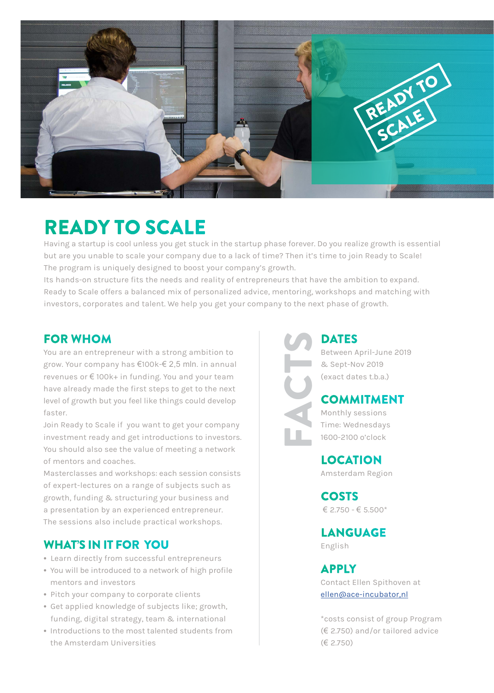

# READY TO SCALE

Having a startup is cool unless you get stuck in the startup phase forever. Do you realize growth is essential but are you unable to scale your company due to a lack of time? Then it's time to join Ready to Scale! The program is uniquely designed to boost your company's growth.

Its hands-on structure fits the needs and reality of entrepreneurs that have the ambition to expand. Ready to Scale offers a balanced mix of personalized advice, mentoring, workshops and matching with investors, corporates and talent. We help you get your company to the next phase of growth.

#### FOR WHOM

You are an entrepreneur with a strong ambition to grow. Your company has €100k-€ 2,5 mln. in annual revenues or € 100k+ in funding. You and your team have already made the first steps to get to the next level of growth but you feel like things could develop faster.

Join Ready to Scale if you want to get your company investment ready and get introductions to investors. You should also see the value of meeting a network of mentors and coaches.

Masterclasses and workshops: each session consists of expert-lectures on a range of subjects such as growth, funding & structuring your business and a presentation by an experienced entrepreneur. The sessions also include practical workshops.

# WHAT'S IN IT FOR YOU

- Learn directly from successful entrepreneurs
- You will be introduced to a network of high profile mentors and investors
- Pitch your company to corporate clients
- Get applied knowledge of subjects like; growth, funding, digital strategy, team & international
- Introductions to the most talented students from the Amsterdam Universities

**DATES** Between April-June 2019 & Sept-Nov 2019 (exact dates t.b.a.)

## COMMITMENT

Monthly sessions Time: Wednesdays 1600-2100 o'clock

FACTS

LOCATION Amsterdam Region

COSTS € 2.750 - € 5.500\*

LANGUAGE English

APPLY

Contact Ellen Spithoven at [ellen@ace-incubator,nl](mailto:ellen%40ace-incubator.nl?subject=ellen%40ace-incubator.nl)

\*costs consist of group Program (€ 2.750) and/or tailored advice (€ 2.750)